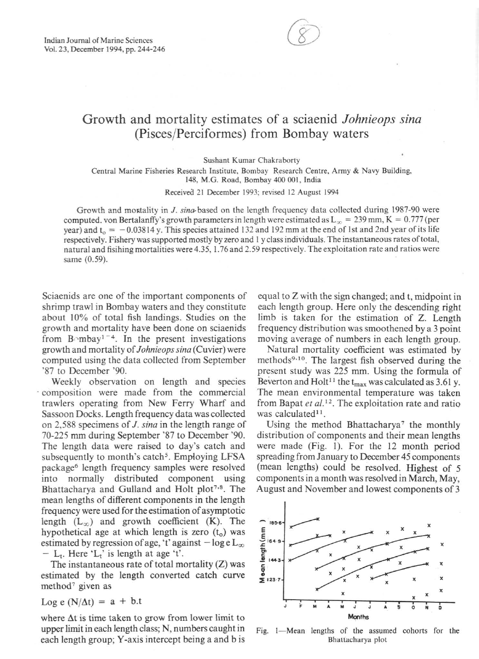

## Growth and mortality estimates of a sciaenid *Johnieops sina*  (Pisces/Perciformes) from Bombay waters

**Sushant Kumar Chakraborty** 

**Central Marine Fisheries Research Institute , Bombay Research Centre, Anny & Navy Building,**  148, M.G. Road, Bombay 400 001, India

**Receivea 21 December 1993; revised 12 August 1994** 

Growth and mootality in J. *sina-* based on the length frequency data collected during 1987-90 were computed. von Bertalanffy's growth parameters in length were estimated as  $L_{\infty} = 239$  mm, K = 0.777 (per year) and  $t_0 = -0.03814$  y. This species attained 132 and 192 mm at the end of 1st and 2nd year of its life respectively. Fishery was supported mostly by zero and 1 y class individuals. The instantaneous rates of total, **natural and fisihing mortalities were4.35. 1. 76 and 2.59 respecti vely. The exploitation rate and ratios were**  same (0.59).

Sciaenids are one of the important components of shrimp trawl in Bombay waters and they constiture about 10% of total fish landings. Studies on the growth and mortality have been done on sciaenids from  $B \cap m$  bay<sup>1-4</sup>. In the present investigations growth and mortality of *Johnieops sina* (Cuvier) were computed using the data collected from September '87 to December '90.

Weekly observation on length and species . composition were made from the commercial trawlers operating from New Ferry Wharf and Sassoon Docks. Length frequency data was collected on 2,588 specimens of J. *sina* in the length range of 70-225 mm during September '87 to December '90. The length data were raised to day's catch and subsequently to month's catch<sup>5</sup>. Employing LFSA package<sup>6</sup> length frequency samples were resolved into normally distributed component using Bhattacharya and Gulland and Holt plot<sup>7,8</sup>. The mean lengths of different components in the length frequency were used for the estimation of asymptotic length  $(L_{\infty})$  and growth coefficient (K). The hypothetical age at which length is zero  $(t_0)$  was estimated by regression of age, 't' against  $-\log e L_{\infty}$ -  $L_t$ . Here ' $L_t$ ' is length at age 't'.

The instantaneous rate of total mortality (Z) was estimated by the length converted catch curve method' given as

Log e  $(N/\Delta t) = a + b.t$ 

where  $\Delta t$  is time taken to grow from lower limit to upper limit in each length class; N, numbers caught in each length group; Y-axis intercept being a and b is equal to Z with the sign changed; and t, midpoint in each length group. Here only the descending right limb is taken for the estimation of Z. Length frequency distribution was smoothened by a 3 point moving average of numbers in each length group.

Natural mortality coefficient was estimated by methods<sup>9,10</sup>. The largest fish observed during the present study was 225 mm. Using the formula of Beverton and Holt<sup>11</sup> the t<sub>max</sub> was calculated as 3.61 y. The mean environmental temperature was taken from Bapat et al.<sup>12</sup>. The exploitation rate and ratio was calculated $11$ .

Using the method Bhattacharya' the monthly distribution of components and their mean lengths were made (Fig. I). For the 12 month period spreading from January to December 45 components (mean lengths) could be resolved. Highest of 5 components in a month was resolved in March, May, August and November and lowest components of 3



Fig. 1-Mean lengths of the assumed cohorts for the **Bhattacharya plot**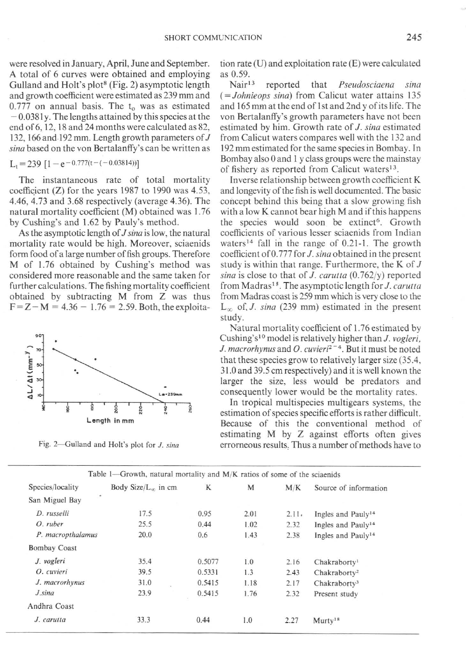were resolved in January, April, June and September. A total of 6 curves were obtained and employing Gulland and Holt's plot<sup>8</sup> (Fig. 2) asymptotic length and growth coefficient were estimated as 239 mm and  $0.777$  on annual basis. The  $t_0$  was as estimated  $-0.0381y$ . The lengths attained by this species at the end of 6, 12, 18 and 24 months were calculated as 82, 132, 166 and.l92 mm. Length growth parameters of J *sina* based on the von Bertalanffy's can be written as

$$
L_t = 239 \left[ 1 - e^{-0.777(t - (-0.03814))} \right]
$$

The instantaneous rate of total mortality coefficient (Z) for the years 1987 to 1990 was 4.53, 4.46,4.73 and 3.68 respectively (average 4.36). The natural mortality coefficient (M) obtained was 1.76 by Cushing's and 1.62 by Pauly's method.

As the asymptotic length of *J sino* is low, the natural mortality rate would be high. Moreover, sciaenids form food of a large number of fish groups. Therefore M of 1.76 obtained by Cushing's method was considered more reasonable and the same taken for further calculations. The fishing mortality coefficient obtained by subtracting M from Z was thus  $F = Z - M = 4.36 - 1.76 = 2.59$ . Both, the exploita-



**Fig. 2--Gulland and Holt's plot for 1.** *sina* 

tion rate  $(U)$  and exploitation rate  $(E)$  were calculated as  $0.59$ .<br>Nair<sup>13</sup>

reported that *Pseudosciaena sina* (= *Johnieops sino)* from Calicut water attains 135 and 165 mm at the end of 1st and 2nd y of its life. The von Bertalanffy's growth parameters have not been estimated by him. Growth rate of *J. sino* estimated from Calicut waters compares well with the 132 and 192 mm estimated forthe same species in Bombay. In Bombay also 0 and I y class groups were the mainstay of fishery as reported from Calicut waters<sup>13</sup>.

Inverse relationship between growth coefficient K and longevity of the fish is well documented. The basic concept behind this being that a slow growing fish with a low K cannot bear high M and if this happens the species would soon be extinct<sup>6</sup>. Growth coefficients of various lesser sciaenids from Indian waters<sup>14</sup> fall in the range of  $0.21$ -1. The growth coefficient of 0.777 for *J. sina* obtained in the present study is within that range. Furthermore, the K of  $J$ *sino* is close to that of *J. carulla* (0.762/y) reported from Madras<sup>15</sup>. The asymptotic length for *J. carutta* from Madras coast is 259 mm which is very close to the  $L_{\infty}$  of, *J. sina* (239 mm) estimated in the present study.

Natural mortality coefficient of 1.76 estimated by Cushing's<sup>10</sup> model is relatively higher than *J. vogleri*, *J. macrorhynus* and *O. cuvieri*<sup>2-4</sup>. But it must be noted that these species grow to relatively larger size (35.4. 31.0 and 39.5 cm respectively) and it is well known the larger the size, less would be predators and consequently lower would be the mortality rates .

In tropical multispecies multigears systems, the estimation of species specific efforts is rather difficult. Because of this the conventional method of estimating M by Z against efforts often gives erromeous results, Thus a number of methods have to

| Table 1—Growth, natural mortality and $M/K$ ratios of some of the sciaenids |        |                                |        |      |       |                                |
|-----------------------------------------------------------------------------|--------|--------------------------------|--------|------|-------|--------------------------------|
| Species/locality                                                            |        | Body Size/ $L_{\infty}$ in cm. | K      | M    | M/K   | Source of information          |
| San Miguel Bay                                                              | $\sim$ |                                |        |      |       |                                |
| D. russelli                                                                 |        | 17.5                           | 0.95   | 2.01 | 2.11. | Ingles and Pauly <sup>14</sup> |
| O. ruber                                                                    |        | 25.5                           | 0.44   | 1.02 | 2.32  | Ingles and Pauly <sup>14</sup> |
| P. macropthalamus                                                           |        | 20.0                           | 0.6    | 1.43 | 2.38  | Ingles and Pauly <sup>14</sup> |
| <b>Bombay Coast</b>                                                         |        |                                |        |      |       |                                |
| J. vogleri                                                                  |        | 35.4                           | 0.5077 | 1.0  | 2.16  | Chakraborty <sup>1</sup>       |
| O. cuvieri                                                                  |        | 39.5                           | 0.5331 | 1.3  | 2.43  | Chakraborty <sup>2</sup>       |
| J. macrorhynus                                                              |        | 31.0                           | 0.5415 | 1.18 | 2.17  | Chakraborty <sup>3</sup>       |
| J.sina                                                                      |        | 23.9                           | 0.5415 | 1.76 | 2.32  | Present study                  |
| Andhra Coast                                                                |        |                                |        |      |       |                                |
| J. carutta                                                                  |        | 33.3                           | 0.44   | 1.0  | 2.27  | Murty <sup>18</sup>            |